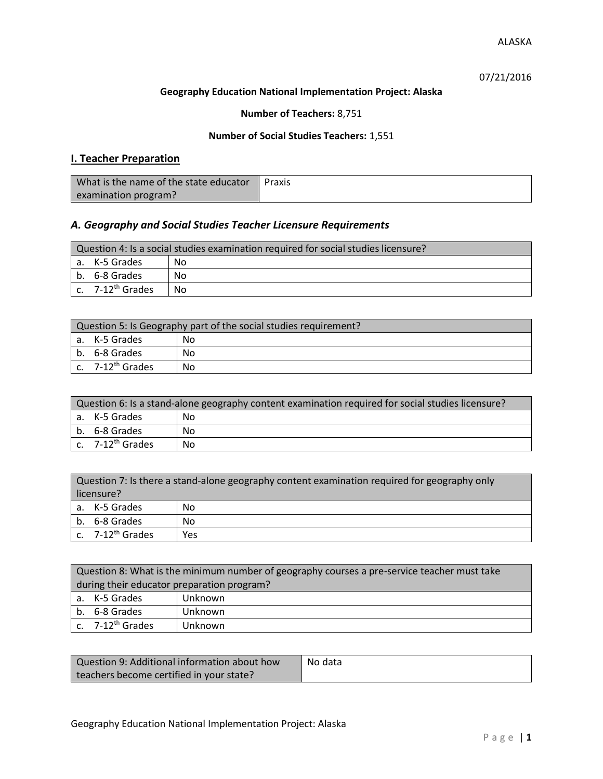07/21/2016

### **Geography Education National Implementation Project: Alaska**

**Number of Teachers:** 8,751

## **Number of Social Studies Teachers:** 1,551

# **I. Teacher Preparation**

| What is the name of the state educator | Praxis |
|----------------------------------------|--------|
| examination program?                   |        |

## *A. Geography and Social Studies Teacher Licensure Requirements*

| Question 4: Is a social studies examination required for social studies licensure? |                       |    |  |
|------------------------------------------------------------------------------------|-----------------------|----|--|
|                                                                                    | a. K-5 Grades         | No |  |
|                                                                                    | b. 6-8 Grades         | No |  |
|                                                                                    | c. $7-12^{th}$ Grades | No |  |

| Question 5: Is Geography part of the social studies requirement? |                              |    |
|------------------------------------------------------------------|------------------------------|----|
|                                                                  | a. K-5 Grades                | No |
|                                                                  | b. 6-8 Grades                | No |
|                                                                  | c. 7-12 <sup>th</sup> Grades | No |

| Question 6: Is a stand-alone geography content examination required for social studies licensure? |    |  |  |
|---------------------------------------------------------------------------------------------------|----|--|--|
| a. K-5 Grades                                                                                     | No |  |  |
| b. 6-8 Grades                                                                                     | No |  |  |
| c. 7-12 <sup>th</sup> Grades                                                                      | No |  |  |

| Question 7: Is there a stand-alone geography content examination required for geography only<br>licensure? |                       |     |
|------------------------------------------------------------------------------------------------------------|-----------------------|-----|
|                                                                                                            | a. K-5 Grades         | No  |
|                                                                                                            | b. 6-8 Grades         | No  |
|                                                                                                            | c. $7-12^{th}$ Grades | Yes |

|                                            | Question 8: What is the minimum number of geography courses a pre-service teacher must take |         |  |
|--------------------------------------------|---------------------------------------------------------------------------------------------|---------|--|
| during their educator preparation program? |                                                                                             |         |  |
|                                            | a. K-5 Grades                                                                               | Unknown |  |
|                                            | b. 6-8 Grades                                                                               | Unknown |  |
|                                            | c. $7-12^{th}$ Grades                                                                       | Unknown |  |

| Question 9: Additional information about how | No data |
|----------------------------------------------|---------|
| teachers become certified in your state?     |         |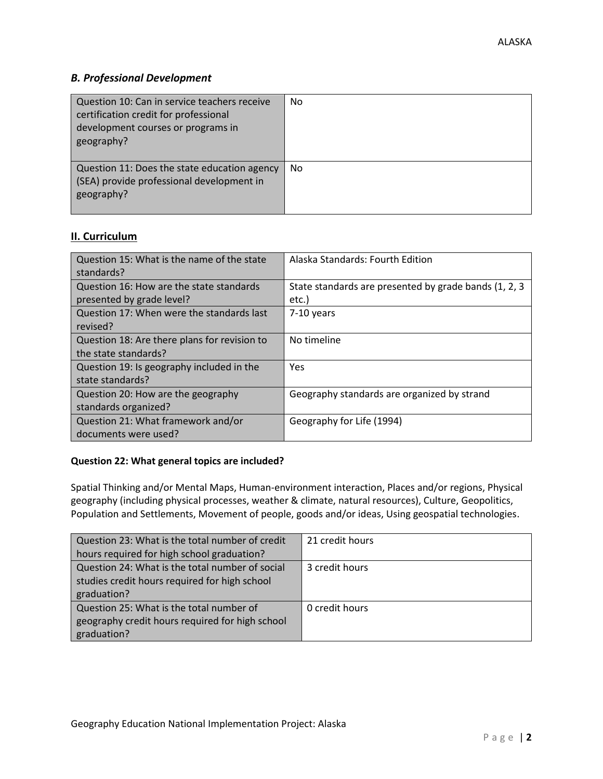# *B. Professional Development*

| Question 10: Can in service teachers receive<br>certification credit for professional<br>development courses or programs in<br>geography? | No |
|-------------------------------------------------------------------------------------------------------------------------------------------|----|
| Question 11: Does the state education agency<br>(SEA) provide professional development in<br>geography?                                   | No |

# **II. Curriculum**

| Question 15: What is the name of the state<br>standards?              | Alaska Standards: Fourth Edition                                |
|-----------------------------------------------------------------------|-----------------------------------------------------------------|
| Question 16: How are the state standards<br>presented by grade level? | State standards are presented by grade bands (1, 2, 3)<br>etc.) |
| Question 17: When were the standards last<br>revised?                 | 7-10 years                                                      |
| Question 18: Are there plans for revision to<br>the state standards?  | No timeline                                                     |
| Question 19: Is geography included in the<br>state standards?         | Yes                                                             |
| Question 20: How are the geography<br>standards organized?            | Geography standards are organized by strand                     |
| Question 21: What framework and/or<br>documents were used?            | Geography for Life (1994)                                       |

#### **Question 22: What general topics are included?**

Spatial Thinking and/or Mental Maps, Human-environment interaction, Places and/or regions, Physical geography (including physical processes, weather & climate, natural resources), Culture, Geopolitics, Population and Settlements, Movement of people, goods and/or ideas, Using geospatial technologies.

| Question 23: What is the total number of credit | 21 credit hours |
|-------------------------------------------------|-----------------|
| hours required for high school graduation?      |                 |
| Question 24: What is the total number of social | 3 credit hours  |
| studies credit hours required for high school   |                 |
| graduation?                                     |                 |
| Question 25: What is the total number of        | 0 credit hours  |
| geography credit hours required for high school |                 |
| graduation?                                     |                 |